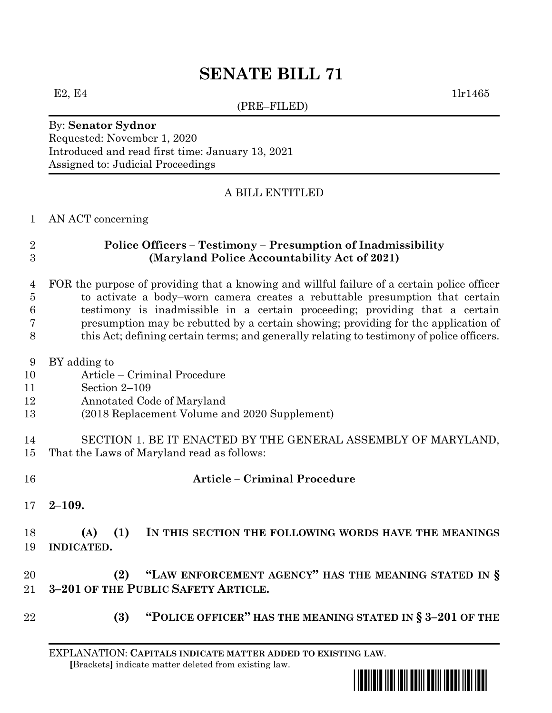# **SENATE BILL 71**

(PRE–FILED)

E2, E4  $1\text{ln}1465$ 

### By: **Senator Sydnor** Requested: November 1, 2020 Introduced and read first time: January 13, 2021 Assigned to: Judicial Proceedings

# A BILL ENTITLED

### AN ACT concerning

### **Police Officers – Testimony – Presumption of Inadmissibility (Maryland Police Accountability Act of 2021)**

### FOR the purpose of providing that a knowing and willful failure of a certain police officer to activate a body–worn camera creates a rebuttable presumption that certain testimony is inadmissible in a certain proceeding; providing that a certain presumption may be rebutted by a certain showing; providing for the application of this Act; defining certain terms; and generally relating to testimony of police officers.

- BY adding to
- Article Criminal Procedure
- Section 2–109
- Annotated Code of Maryland
- (2018 Replacement Volume and 2020 Supplement)
- SECTION 1. BE IT ENACTED BY THE GENERAL ASSEMBLY OF MARYLAND, That the Laws of Maryland read as follows:
- **Article – Criminal Procedure**
- **2–109.**

## **(A) (1) IN THIS SECTION THE FOLLOWING WORDS HAVE THE MEANINGS INDICATED.**

# **(2) "LAW ENFORCEMENT AGENCY" HAS THE MEANING STATED IN § 3–201 OF THE PUBLIC SAFETY ARTICLE.**

**(3) "POLICE OFFICER" HAS THE MEANING STATED IN § 3–201 OF THE** 

EXPLANATION: **CAPITALS INDICATE MATTER ADDED TO EXISTING LAW**.  **[**Brackets**]** indicate matter deleted from existing law.